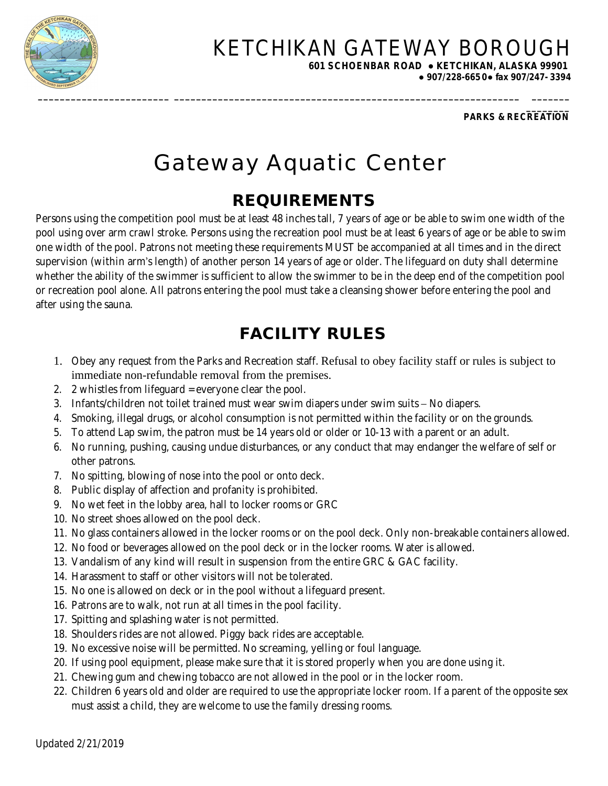

# KETCHIKAN GATEWAY BOROUGH  **601 SCHOENBAR ROAD ● KETCHIKAN, ALASKA 99901**

 **● 907/228-6650● fax 907/247- 3394**

#### **\_\_\_\_\_\_\_\_ PARKS & RECREATION**

# Gateway Aquatic Center

### **REQUIREMENTS**

Persons using the competition pool must be at least 48 inches tall, 7 years of age or be able to swim one width of the pool using over arm crawl stroke. Persons using the recreation pool must be at least 6 years of age or be able to swim one width of the pool. Patrons not meeting these requirements MUST be accompanied at all times and in the direct supervision (within arm's length) of another person 14 years of age or older. The lifeguard on duty shall determine whether the ability of the swimmer is sufficient to allow the swimmer to be in the deep end of the competition pool or recreation pool alone. All patrons entering the pool must take a cleansing shower before entering the pool and after using the sauna.

# **FACILITY RULES**

- 1. Obey any request from the Parks and Recreation staff. Refusal to obey facility staff or rules is subject to immediate non-refundable removal from the premises.
- 2. 2 whistles from lifeguard = everyone clear the pool.
- 3. Infants/children not toilet trained must wear swim diapers under swim suits No diapers.
- 4. Smoking, illegal drugs, or alcohol consumption is not permitted within the facility or on the grounds.
- 5. To attend Lap swim, the patron must be 14 years old or older or 10-13 with a parent or an adult.
- 6. No running, pushing, causing undue disturbances, or any conduct that may endanger the welfare of self or other patrons.
- 7. No spitting, blowing of nose into the pool or onto deck.
- 8. Public display of affection and profanity is prohibited.
- 9. No wet feet in the lobby area, hall to locker rooms or GRC
- 10. No street shoes allowed on the pool deck.
- 11. No glass containers allowed in the locker rooms or on the pool deck. Only non-breakable containers allowed.
- 12. No food or beverages allowed on the pool deck or in the locker rooms. Water is allowed.
- 13. Vandalism of any kind will result in suspension from the entire GRC & GAC facility.
- 14. Harassment to staff or other visitors will not be tolerated.
- 15. No one is allowed on deck or in the pool without a lifeguard present.
- 16. Patrons are to walk, not run at all times in the pool facility.
- 17. Spitting and splashing water is not permitted.
- 18. Shoulders rides are not allowed. Piggy back rides are acceptable.
- 19. No excessive noise will be permitted. No screaming, yelling or foul language.
- 20. If using pool equipment, please make sure that it is stored properly when you are done using it.
- 21. Chewing gum and chewing tobacco are not allowed in the pool or in the locker room.
- 22. Children 6 years old and older are required to use the appropriate locker room. If a parent of the opposite sex must assist a child, they are welcome to use the family dressing rooms.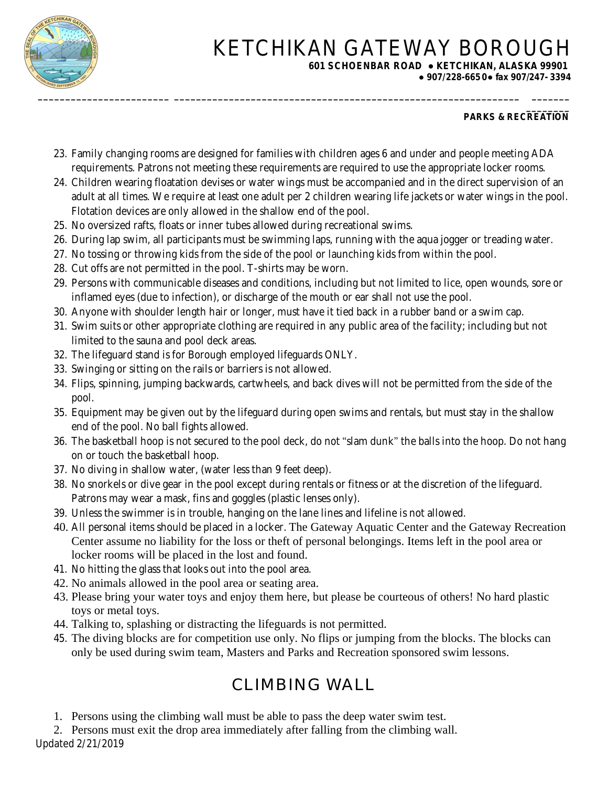

### KETCHIKAN GATEWAY BOROUGH  **601 SCHOENBAR ROAD ● KETCHIKAN, ALASKA 99901**

 **● 907/228-6650● fax 907/247- 3394**

#### **\_\_\_\_\_\_\_\_ PARKS & RECREATION**

- 23. Family changing rooms are designed for families with children ages 6 and under and people meeting ADA requirements. Patrons not meeting these requirements are required to use the appropriate locker rooms.
- 24. Children wearing floatation devises or water wings must be accompanied and in the direct supervision of an adult at all times. We require at least one adult per 2 children wearing life jackets or water wings in the pool. Flotation devices are only allowed in the shallow end of the pool.
- 25. No oversized rafts, floats or inner tubes allowed during recreational swims.
- 26. During lap swim, all participants must be swimming laps, running with the aqua jogger or treading water.
- 27. No tossing or throwing kids from the side of the pool or launching kids from within the pool.
- 28. Cut offs are not permitted in the pool. T-shirts may be worn.
- 29. Persons with communicable diseases and conditions, including but not limited to lice, open wounds, sore or inflamed eyes (due to infection), or discharge of the mouth or ear shall not use the pool.
- 30. Anyone with shoulder length hair or longer, must have it tied back in a rubber band or a swim cap.
- 31. Swim suits or other appropriate clothing are required in any public area of the facility; including but not limited to the sauna and pool deck areas.
- 32. The lifeguard stand is for Borough employed lifeguards ONLY.
- 33. Swinging or sitting on the rails or barriers is not allowed.
- 34. Flips, spinning, jumping backwards, cartwheels, and back dives will not be permitted from the side of the pool.
- 35. Equipment may be given out by the lifeguard during open swims and rentals, but must stay in the shallow end of the pool. No ball fights allowed.
- 36. The basketball hoop is not secured to the pool deck, do not "slam dunk" the balls into the hoop. Do not hang on or touch the basketball hoop.
- 37. No diving in shallow water, (water less than 9 feet deep).
- 38. No snorkels or dive gear in the pool except during rentals or fitness or at the discretion of the lifeguard. Patrons may wear a mask, fins and goggles (plastic lenses only).
- 39. Unless the swimmer is in trouble, hanging on the lane lines and lifeline is not allowed.
- 40. All personal items should be placed in a locker. The Gateway Aquatic Center and the Gateway Recreation Center assume no liability for the loss or theft of personal belongings. Items left in the pool area or locker rooms will be placed in the lost and found.
- 41. No hitting the glass that looks out into the pool area.
- 42. No animals allowed in the pool area or seating area.
- 43. Please bring your water toys and enjoy them here, but please be courteous of others! No hard plastic toys or metal toys.
- 44. Talking to, splashing or distracting the lifeguards is not permitted.
- 45. The diving blocks are for competition use only. No flips or jumping from the blocks. The blocks can only be used during swim team, Masters and Parks and Recreation sponsored swim lessons.

# CLIMBING WALL

1. Persons using the climbing wall must be able to pass the deep water swim test.

Updated 2/21/2019 2. Persons must exit the drop area immediately after falling from the climbing wall.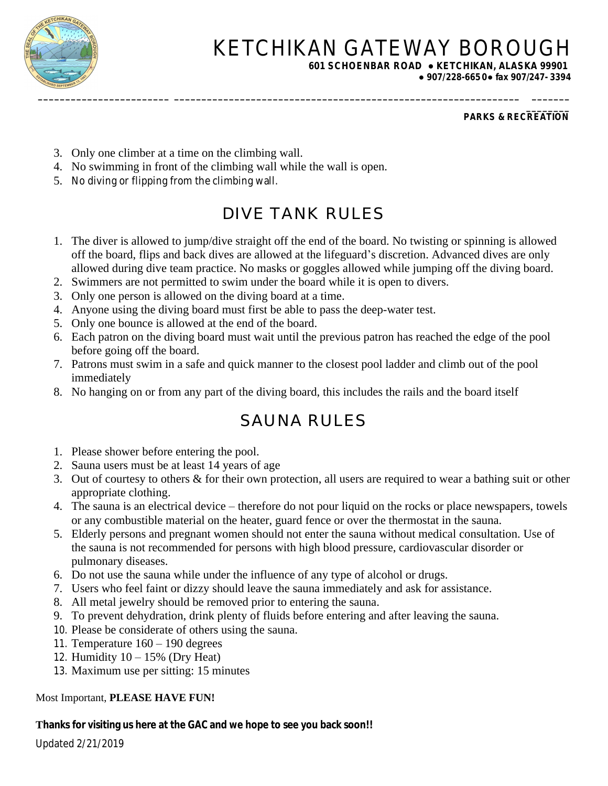

### KETCHIKAN GATEWAY BOROUGH  **601 SCHOENBAR ROAD ● KETCHIKAN, ALASKA 99901**

 **● 907/228-6650● fax 907/247- 3394**

#### **\_\_\_\_\_\_\_\_ PARKS & RECREATION**

- 3. Only one climber at a time on the climbing wall.
- 4. No swimming in front of the climbing wall while the wall is open.
- 5. No diving or flipping from the climbing wall.

# DIVE TANK RULES

- 1. The diver is allowed to jump/dive straight off the end of the board. No twisting or spinning is allowed off the board, flips and back dives are allowed at the lifeguard's discretion. Advanced dives are only allowed during dive team practice. No masks or goggles allowed while jumping off the diving board.
- 2. Swimmers are not permitted to swim under the board while it is open to divers.
- 3. Only one person is allowed on the diving board at a time.
- 4. Anyone using the diving board must first be able to pass the deep-water test.
- 5. Only one bounce is allowed at the end of the board.
- 6. Each patron on the diving board must wait until the previous patron has reached the edge of the pool before going off the board.
- 7. Patrons must swim in a safe and quick manner to the closest pool ladder and climb out of the pool immediately
- 8. No hanging on or from any part of the diving board, this includes the rails and the board itself

# SAUNA RULES

- 1. Please shower before entering the pool.
- 2. Sauna users must be at least 14 years of age
- 3. Out of courtesy to others & for their own protection, all users are required to wear a bathing suit or other appropriate clothing.
- 4. The sauna is an electrical device therefore do not pour liquid on the rocks or place newspapers, towels or any combustible material on the heater, guard fence or over the thermostat in the sauna.
- 5. Elderly persons and pregnant women should not enter the sauna without medical consultation. Use of the sauna is not recommended for persons with high blood pressure, cardiovascular disorder or pulmonary diseases.
- 6. Do not use the sauna while under the influence of any type of alcohol or drugs.
- 7. Users who feel faint or dizzy should leave the sauna immediately and ask for assistance.
- 8. All metal jewelry should be removed prior to entering the sauna.
- 9. To prevent dehydration, drink plenty of fluids before entering and after leaving the sauna.
- 10. Please be considerate of others using the sauna.
- 11. Temperature  $160 190$  degrees
- 12. Humidity  $10 15\%$  (Dry Heat)
- 13. Maximum use per sitting: 15 minutes

### Most Important, **PLEASE HAVE FUN!**

### **Thanks for visiting us here at the GAC and we hope to see you back soon!!**

Updated 2/21/2019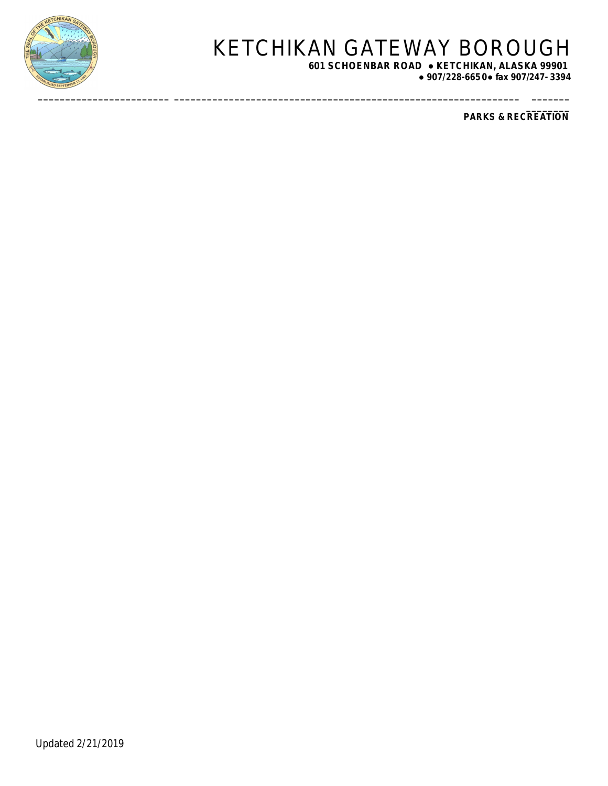

### KETCHIKAN GATEWAY BOROUGH  **601 SCHOENBAR ROAD ● KETCHIKAN, ALASKA 99901 ● 907/228-6650● fax 907/247- 3394**

**\_\_\_\_\_\_\_\_ PARKS & RECREATION**